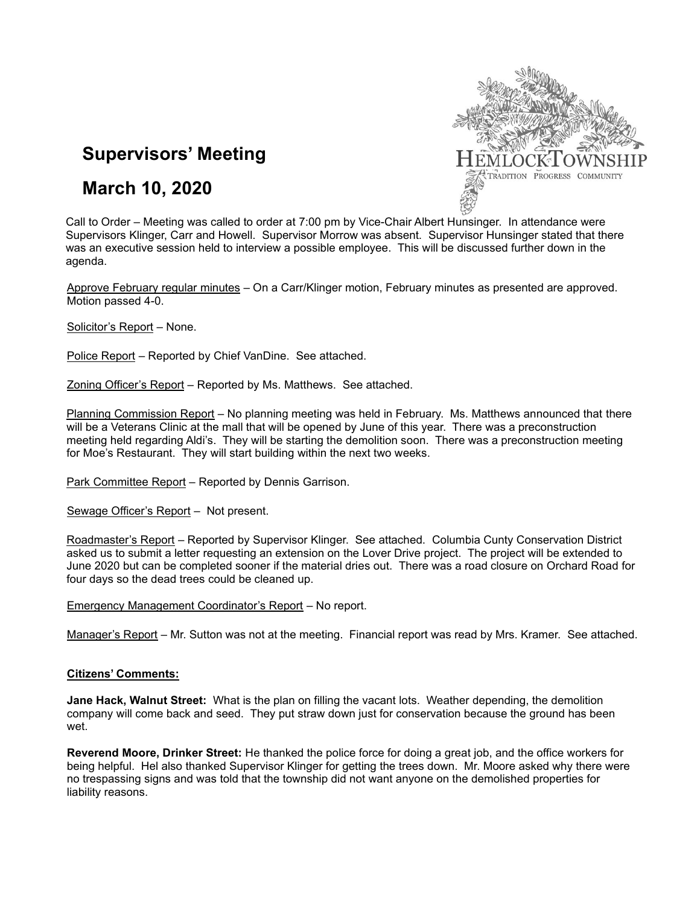

# **Supervisors' Meeting**

## **March 10, 2020**

Call to Order – Meeting was called to order at 7:00 pm by Vice-Chair Albert Hunsinger. In attendance were Supervisors Klinger, Carr and Howell. Supervisor Morrow was absent. Supervisor Hunsinger stated that there was an executive session held to interview a possible employee. This will be discussed further down in the agenda.

Approve February regular minutes – On a Carr/Klinger motion, February minutes as presented are approved. Motion passed 4-0.

Solicitor's Report – None.

Police Report – Reported by Chief VanDine. See attached.

Zoning Officer's Report – Reported by Ms. Matthews. See attached.

Planning Commission Report – No planning meeting was held in February. Ms. Matthews announced that there will be a Veterans Clinic at the mall that will be opened by June of this year. There was a preconstruction meeting held regarding Aldi's. They will be starting the demolition soon. There was a preconstruction meeting for Moe's Restaurant. They will start building within the next two weeks.

Park Committee Report – Reported by Dennis Garrison.

Sewage Officer's Report – Not present.

Roadmaster's Report – Reported by Supervisor Klinger. See attached. Columbia Cunty Conservation District asked us to submit a letter requesting an extension on the Lover Drive project. The project will be extended to June 2020 but can be completed sooner if the material dries out. There was a road closure on Orchard Road for four days so the dead trees could be cleaned up.

Emergency Management Coordinator's Report – No report.

Manager's Report – Mr. Sutton was not at the meeting. Financial report was read by Mrs. Kramer. See attached.

#### **Citizens' Comments:**

**Jane Hack, Walnut Street:** What is the plan on filling the vacant lots. Weather depending, the demolition company will come back and seed. They put straw down just for conservation because the ground has been wet.

**Reverend Moore, Drinker Street:** He thanked the police force for doing a great job, and the office workers for being helpful. Hel also thanked Supervisor Klinger for getting the trees down. Mr. Moore asked why there were no trespassing signs and was told that the township did not want anyone on the demolished properties for liability reasons.